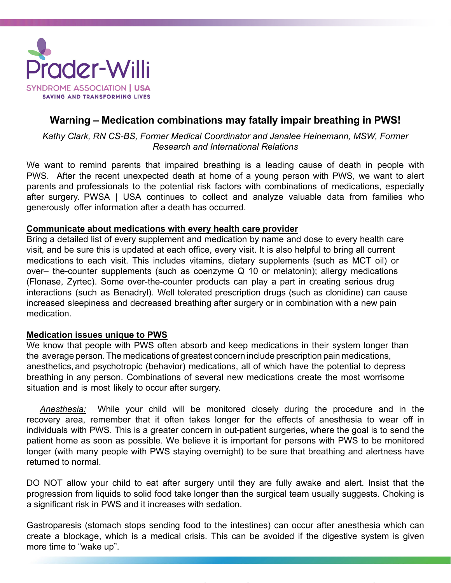

## **Warning – Medication combinations may fatally impair breathing in PWS!**

*Kathy Clark, RN CS-BS, Former Medical Coordinator and Janalee Heinemann, MSW, Former Research and International Relations*

We want to remind parents that impaired breathing is a leading cause of death in people with PWS. After the recent unexpected death at home of a young person with PWS, we want to alert parents and professionals to the potential risk factors with combinations of medications, especially after surgery. PWSA | USA continues to collect and analyze valuable data from families who generously offer information after a death has occurred.

## **Communicate about medications with every health care provider**

Bring a detailed list of every supplement and medication by name and dose to every health care visit, and be sure this is updated at each office, every visit. It is also helpful to bring all current medications to each visit. This includes vitamins, dietary supplements (such as MCT oil) or over– the-counter supplements (such as coenzyme Q 10 or melatonin); allergy medications (Flonase, Zyrtec). Some over-the-counter products can play a part in creating serious drug interactions (such as Benadryl). Well tolerated prescription drugs (such as clonidine) can cause increased sleepiness and decreased breathing after surgery or in combination with a new pain medication.

## **Medication issues unique to PWS**

We know that people with PWS often absorb and keep medications in their system longer than the average person. The medications of greatest concern include prescription pain medications, anesthetics, and psychotropic (behavior) medications, all of which have the potential to depress breathing in any person. Combinations of several new medications create the most worrisome situation and is most likely to occur after surgery.

*Anesthesia:* While your child will be monitored closely during the procedure and in the recovery area, remember that it often takes longer for the effects of anesthesia to wear off in individuals with PWS. This is a greater concern in out-patient surgeries, where the goal is to send the patient home as soon as possible. We believe it is important for persons with PWS to be monitored longer (with many people with PWS staying overnight) to be sure that breathing and alertness have returned to normal.

DO NOT allow your child to eat after surgery until they are fully awake and alert. Insist that the progression from liquids to solid food take longer than the surgical team usually suggests. Choking is a significant risk in PWS and it increases with sedation.

Gastroparesis (stomach stops sending food to the intestines) can occur after anesthesia which can create a blockage, which is a medical crisis. This can be avoided if the digestive system is given more time to "wake up".